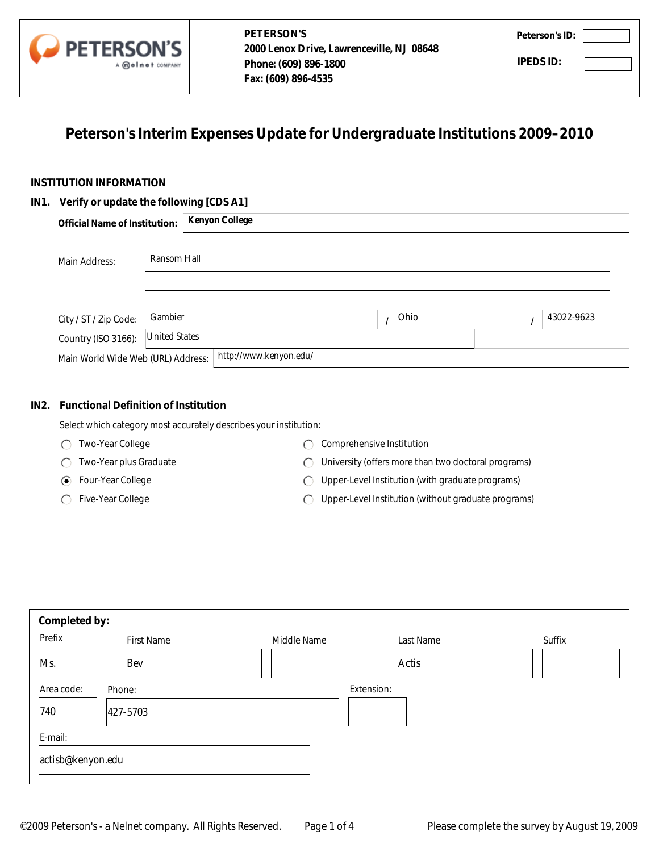

# **Peterson's Interim Expenses Update for Undergraduate Institutions 2009–2010**

### **INSTITUTION INFORMATION**

#### **IN1. Verify or update the following [CDS A1]**

| <b>Official Name of Institution:</b> |                      | <b>Kenyon College</b>  |      |            |
|--------------------------------------|----------------------|------------------------|------|------------|
| Main Address:                        | Ransom Hall          |                        |      |            |
|                                      |                      |                        |      |            |
| City / ST / Zip Code:                | Gambier              |                        | Ohio | 43022-9623 |
| Country (ISO 3166):                  | <b>United States</b> |                        |      |            |
| Main World Wide Web (URL) Address:   |                      | http://www.kenyon.edu/ |      |            |

## **IN2. Functional Definition of Institution**

- Two-Year College
- Two-Year plus Graduate
- Four-Year College
- ◯ Five-Year College
- C Comprehensive Institution
- University (offers more than two doctoral programs)
- Upper-Level Institution (with graduate programs)
- Upper-Level Institution (without graduate programs)

|         | Main Address:                               | Ransom Hall          |                                                                   |                                                     |           |  |   |            |
|---------|---------------------------------------------|----------------------|-------------------------------------------------------------------|-----------------------------------------------------|-----------|--|---|------------|
|         | City / ST / Zip Code:                       | Gambier              |                                                                   | $\prime$                                            | Ohio      |  | I | 43022-9623 |
|         | Country (ISO 3166):                         | <b>United States</b> |                                                                   |                                                     |           |  |   |            |
|         | Main World Wide Web (URL) Address:          |                      | http://www.kenyon.edu/                                            |                                                     |           |  |   |            |
| IN2.    | <b>Functional Definition of Institution</b> |                      | Select which category most accurately describes your institution: |                                                     |           |  |   |            |
|         | Two-Year College<br>⊖                       |                      | $\left( \begin{array}{c} \end{array} \right)$                     | Comprehensive Institution                           |           |  |   |            |
|         | Two-Year plus Graduate                      |                      | (                                                                 | University (offers more than two doctoral programs) |           |  |   |            |
|         | Four-Year College<br>(●                     |                      | ⊖                                                                 | Upper-Level Institution (with graduate programs)    |           |  |   |            |
|         | Five-Year College                           |                      | Upper-Level Institution (without graduate programs)<br>C          |                                                     |           |  |   |            |
|         |                                             |                      |                                                                   |                                                     |           |  |   |            |
|         | Completed by:                               |                      |                                                                   |                                                     |           |  |   |            |
| Prefix  |                                             | <b>First Name</b>    | Middle Name                                                       |                                                     | Last Name |  |   | Suffix     |
| Ms.     | Bev                                         |                      |                                                                   |                                                     | Actis     |  |   |            |
|         | Area code:<br>Phone:                        |                      |                                                                   | Extension:                                          |           |  |   |            |
| 740     | 427-5703                                    |                      |                                                                   |                                                     |           |  |   |            |
| E-mail: |                                             |                      |                                                                   |                                                     |           |  |   |            |
|         | actisb@kenyon.edu                           |                      |                                                                   |                                                     |           |  |   |            |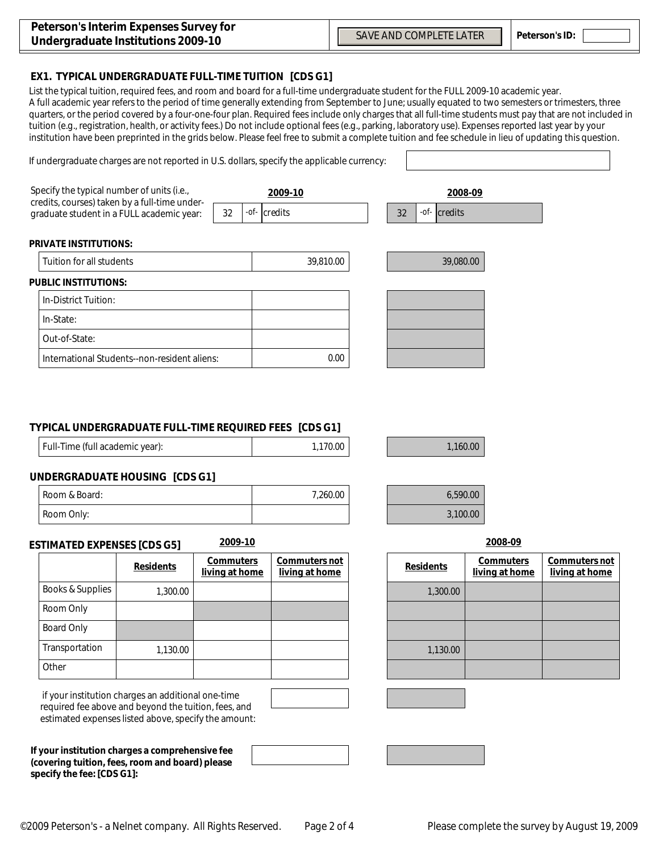$\overline{\phantom{a}}$ 

#### **EX1. TYPICAL UNDERGRADUATE FULL-TIME TUITION [CDS G1]**

If undergraduate charges are not reported in U.S. dollars, specify the applicable currency:

List the typical tuition, required fees, and room and board for a full-time undergraduate student for the FULL 2009-10 academic year. A full academic year refers to the period of time generally extending from September to June; usually equated to two semesters or trimesters, three quarters, or the period covered by a four-one-four plan. Required fees include only charges that all full-time students must pay that are not included in tuition (e.g., registration, health, or activity fees.) Do not include optional fees (e.g., parking, laboratory use). Expenses reported last year by your institution have been preprinted in the grids below. Please feel free to submit a complete tuition and fee schedule in lieu of updating this question.

| Specify the typical number of units (i.e.,<br>credits, courses) taken by a full-time under-<br>graduate student in a FULL academic year: |  | 2009-10 |                             |    | 2008-09      |  |  |
|------------------------------------------------------------------------------------------------------------------------------------------|--|---------|-----------------------------|----|--------------|--|--|
|                                                                                                                                          |  |         | $-$ <i>of</i> - $ $ credits | 32 | -of- credits |  |  |
| <b>PRIVATE INSTITUTIONS:</b>                                                                                                             |  |         |                             |    |              |  |  |
| Tuition for all students                                                                                                                 |  |         | 39,810.00                   |    | 39,080.00    |  |  |
| <b>PUBLIC INSTITUTIONS:</b>                                                                                                              |  |         |                             |    |              |  |  |
| In-District Tuition:                                                                                                                     |  |         |                             |    |              |  |  |
| In-State:                                                                                                                                |  |         |                             |    |              |  |  |
| Out-of-State:                                                                                                                            |  |         |                             |    |              |  |  |
| International Students--non-resident aliens:                                                                                             |  |         | 0.00                        |    |              |  |  |

#### **TYPICAL UNDERGRADUATE FULL-TIME REQUIRED FEES [CDS G1]**

| Full-Time (full academic year): | 1,170.00 |
|---------------------------------|----------|
|---------------------------------|----------|

| 7,260.00 | 6,590.00 |
|----------|----------|
|          | 3,100.00 |

1,160.00

#### **UNDERGRADUATE HOUSING [CDS G1]**

| Room & Board: | 7,260.00 |
|---------------|----------|
| Room Only.    |          |

#### **ESTIMATED EXPENSES [CDS G5] 2009-10 2008-09**

|                  | <b>Residents</b> | <b>Commuters</b><br>living at home | <b>Commuters not</b><br>living at home | <b>Residents</b> |
|------------------|------------------|------------------------------------|----------------------------------------|------------------|
| Books & Supplies | 1,300.00         |                                    |                                        | 1,300.00         |
| Room Only        |                  |                                    |                                        |                  |
| Board Only       |                  |                                    |                                        |                  |
| Transportation   | 1,130.00         |                                    |                                        | 1,130.00         |
| Other            |                  |                                    |                                        |                  |

 if your institution charges an additional one-time required fee above and beyond the tuition, fees, and estimated expenses listed above, specify the amount:

**If your institution charges a comprehensive fee (covering tuition, fees, room and board) please specify the fee: [CDS G1]:**

|  |  |  |  | 2008-09 |  |
|--|--|--|--|---------|--|
|--|--|--|--|---------|--|

| Commuters <i>not</i><br><u>living at home</u> | <b>Residents</b> | <b>Commuters</b><br>living at home | Commuters not<br>living at home |
|-----------------------------------------------|------------------|------------------------------------|---------------------------------|
|                                               | 1,300.00         |                                    |                                 |
|                                               |                  |                                    |                                 |
|                                               |                  |                                    |                                 |
|                                               | 1,130.00         |                                    |                                 |
|                                               |                  |                                    |                                 |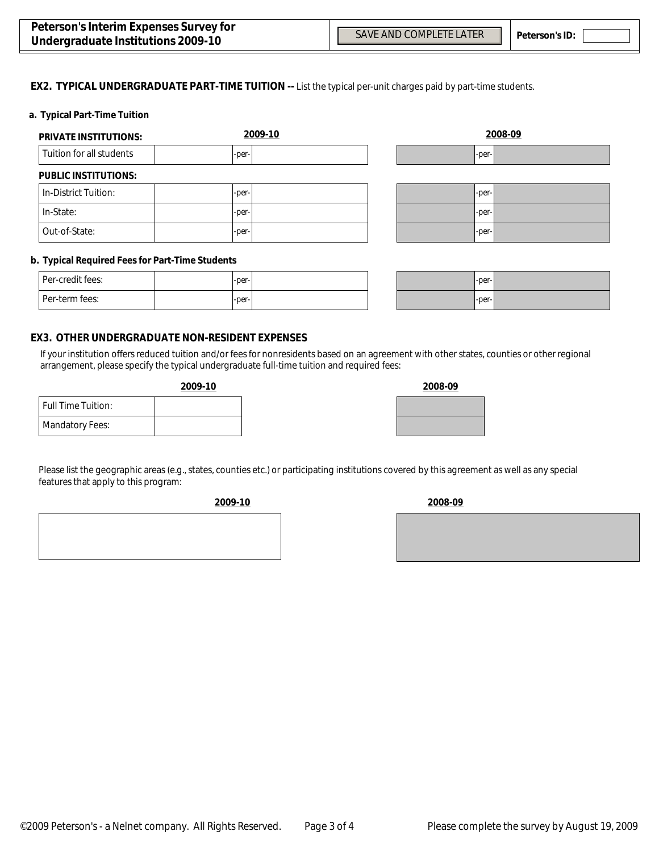$\blacktriangledown$ 

 $\overline{\phantom{0}}$ 

#### **EX2. TYPICAL UNDERGRADUATE PART-TIME TUITION --** List the typical per-unit charges paid by part-time students.

#### **a. Typical Part-Time Tuition**

| <b>PRIVATE INSTITUTIONS:</b> | 2009-10 | 2008-09    |
|------------------------------|---------|------------|
| Tuition for all students     | -per-   | -per-      |
| <b>PUBLIC INSTITUTIONS:</b>  |         |            |
| In-District Tuition:         | -per-   | -per-      |
| In-State:                    | -per-   | -per-      |
| Out-of-State:                | -per-   | -per-<br>▼ |

#### **b. Typical Required Fees for Part-Time Students**

| Per-credit fees: | $-per-$ |  |
|------------------|---------|--|
| l Per-term fees: | $-per-$ |  |

| $-per-$ | ı |
|---------|---|
| $-per-$ | ı |

#### **EX3. OTHER UNDERGRADUATE NON-RESIDENT EXPENSES**

If your institution offers reduced tuition and/or fees for nonresidents based on an agreement with other states, counties or other regional arrangement, please specify the typical undergraduate full-time tuition and required fees:

#### **2009-10 2008-09**

| <b>Full Time Tuition:</b> |  |
|---------------------------|--|
| <b>Mandatory Fees:</b>    |  |

| Please list the geographic areas (e.g., states, counties etc.) or participating institutions covered by this agreement as well as any special |
|-----------------------------------------------------------------------------------------------------------------------------------------------|
| features that apply to this program:                                                                                                          |



**2009-10 2008-09**